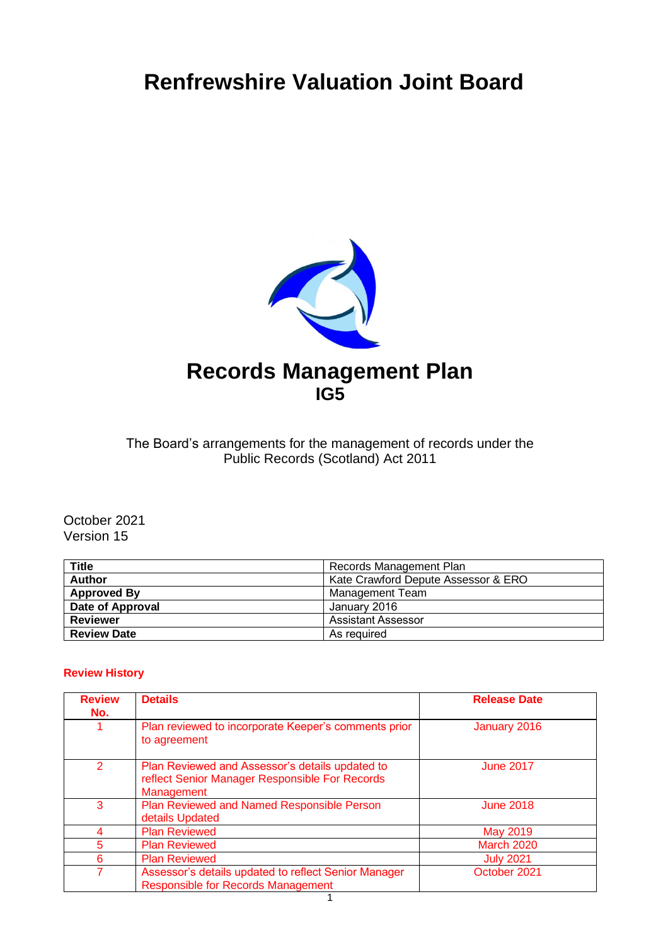# **Renfrewshire Valuation Joint Board**



The Board's arrangements for the management of records under the Public Records (Scotland) Act 2011

October 2021 Version 15

| <b>Title</b>       | Records Management Plan             |
|--------------------|-------------------------------------|
| <b>Author</b>      | Kate Crawford Depute Assessor & ERO |
| <b>Approved By</b> | Management Team                     |
| Date of Approval   | January 2016                        |
| <b>Reviewer</b>    | Assistant Assessor                  |
| <b>Review Date</b> | As reguired                         |

#### **Review History**

| <b>Review</b><br>No. | <b>Details</b>                                                                                                  | <b>Release Date</b> |
|----------------------|-----------------------------------------------------------------------------------------------------------------|---------------------|
|                      | Plan reviewed to incorporate Keeper's comments prior<br>to agreement                                            | January 2016        |
| 2                    | Plan Reviewed and Assessor's details updated to<br>reflect Senior Manager Responsible For Records<br>Management | <b>June 2017</b>    |
| 3                    | Plan Reviewed and Named Responsible Person<br>details Updated                                                   | <b>June 2018</b>    |
| 4                    | <b>Plan Reviewed</b>                                                                                            | May 2019            |
| 5                    | <b>Plan Reviewed</b>                                                                                            | <b>March 2020</b>   |
| 6                    | <b>Plan Reviewed</b>                                                                                            | <b>July 2021</b>    |
|                      | Assessor's details updated to reflect Senior Manager<br><b>Responsible for Records Management</b>               | October 2021        |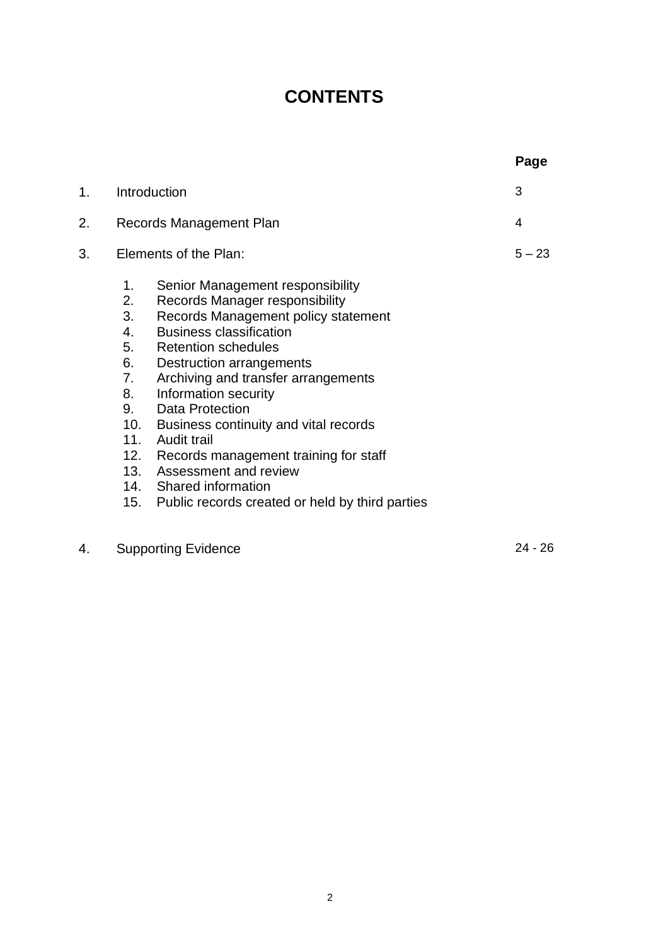## **CONTENTS**

|    |                                                                         |                                                                                                                                                                                                                                                                                                                                                                                                                                                                                                               | Page      |
|----|-------------------------------------------------------------------------|---------------------------------------------------------------------------------------------------------------------------------------------------------------------------------------------------------------------------------------------------------------------------------------------------------------------------------------------------------------------------------------------------------------------------------------------------------------------------------------------------------------|-----------|
| 1. |                                                                         | Introduction                                                                                                                                                                                                                                                                                                                                                                                                                                                                                                  | 3         |
| 2. | Records Management Plan                                                 |                                                                                                                                                                                                                                                                                                                                                                                                                                                                                                               | 4         |
| 3. |                                                                         | Elements of the Plan:                                                                                                                                                                                                                                                                                                                                                                                                                                                                                         | $5 - 23$  |
|    | 1.<br>2.<br>3.<br>4.<br>5.<br>6.<br>7.<br>8.<br>9.<br>10.<br>11.<br>12. | Senior Management responsibility<br>Records Manager responsibility<br>Records Management policy statement<br><b>Business classification</b><br><b>Retention schedules</b><br>Destruction arrangements<br>Archiving and transfer arrangements<br>Information security<br><b>Data Protection</b><br>Business continuity and vital records<br>Audit trail<br>Records management training for staff<br>13. Assessment and review<br>14. Shared information<br>15. Public records created or held by third parties |           |
| 4. |                                                                         | <b>Supporting Evidence</b>                                                                                                                                                                                                                                                                                                                                                                                                                                                                                    | $24 - 26$ |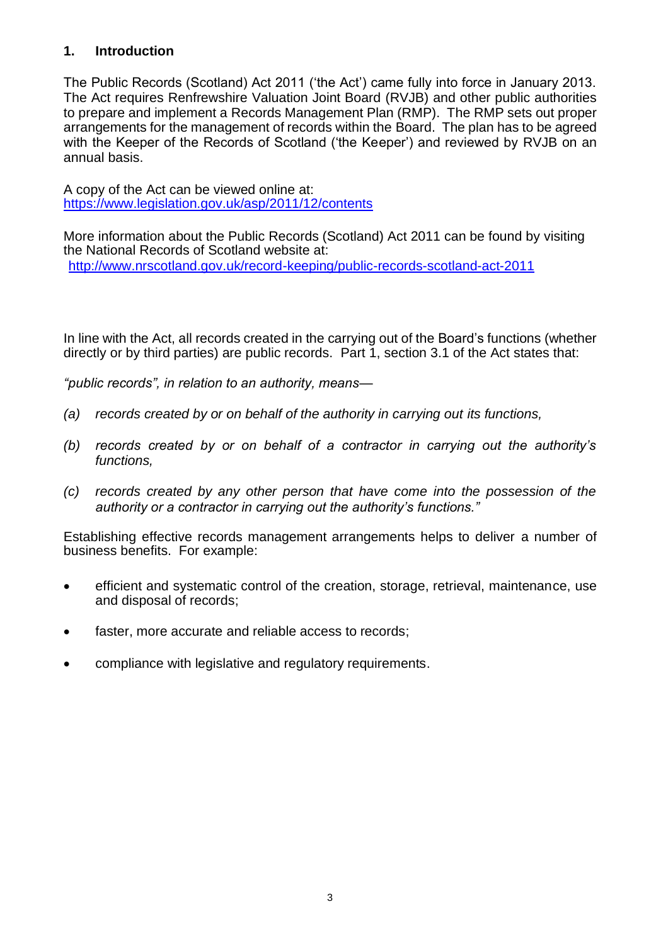#### **1. Introduction**

The Public Records (Scotland) Act 2011 ('the Act') came fully into force in January 2013. The Act requires Renfrewshire Valuation Joint Board (RVJB) and other public authorities to prepare and implement a Records Management Plan (RMP). The RMP sets out proper arrangements for the management of records within the Board. The plan has to be agreed with the Keeper of the Records of Scotland ('the Keeper') and reviewed by RVJB on an annual basis.

A copy of the Act can be viewed online at: <https://www.legislation.gov.uk/asp/2011/12/contents>

More information about the Public Records (Scotland) Act 2011 can be found by visiting the National Records of Scotland website at: <http://www.nrscotland.gov.uk/record-keeping/public-records-scotland-act-2011>

In line with the Act, all records created in the carrying out of the Board's functions (whether directly or by third parties) are public records. Part 1, section 3.1 of the Act states that:

*"public records", in relation to an authority, means—*

- *(a) records created by or on behalf of the authority in carrying out its functions,*
- *(b) records created by or on behalf of a contractor in carrying out the authority's functions,*
- *(c) records created by any other person that have come into the possession of the authority or a contractor in carrying out the authority's functions."*

Establishing effective records management arrangements helps to deliver a number of business benefits. For example:

- efficient and systematic control of the creation, storage, retrieval, maintenance, use and disposal of records;
- faster, more accurate and reliable access to records;
- compliance with legislative and regulatory requirements.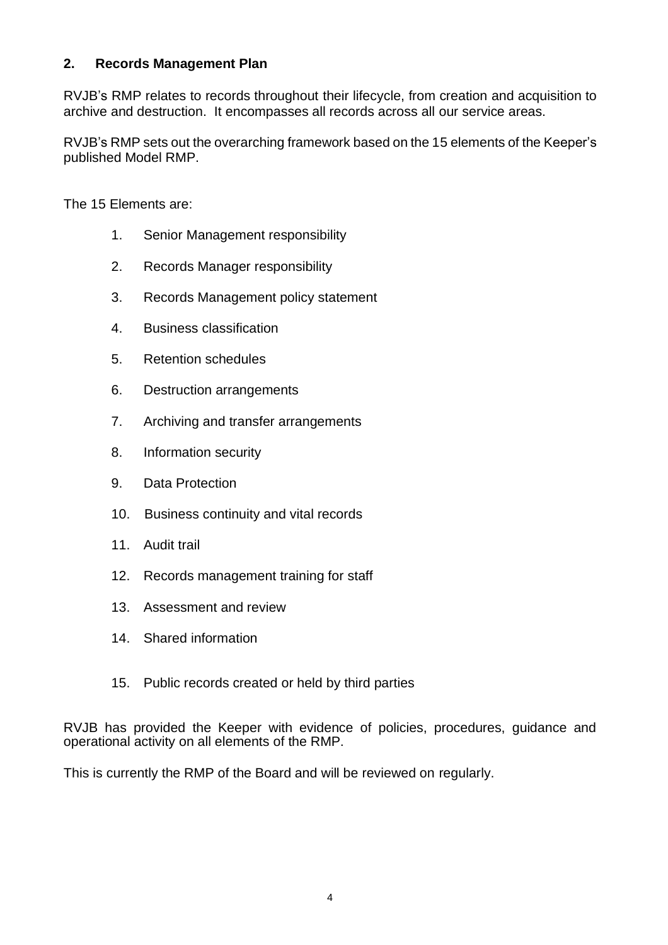#### **2. Records Management Plan**

RVJB's RMP relates to records throughout their lifecycle, from creation and acquisition to archive and destruction. It encompasses all records across all our service areas.

RVJB's RMP sets out the overarching framework based on the 15 elements of the Keeper's published Model RMP.

The 15 Elements are:

- 1. Senior Management responsibility
- 2. Records Manager responsibility
- 3. Records Management policy statement
- 4. Business classification
- 5. Retention schedules
- 6. Destruction arrangements
- 7. Archiving and transfer arrangements
- 8. Information security
- 9. Data Protection
- 10. Business continuity and vital records
- 11. Audit trail
- 12. Records management training for staff
- 13. Assessment and review
- 14. Shared information
- 15. Public records created or held by third parties

RVJB has provided the Keeper with evidence of policies, procedures, guidance and operational activity on all elements of the RMP.

This is currently the RMP of the Board and will be reviewed on regularly.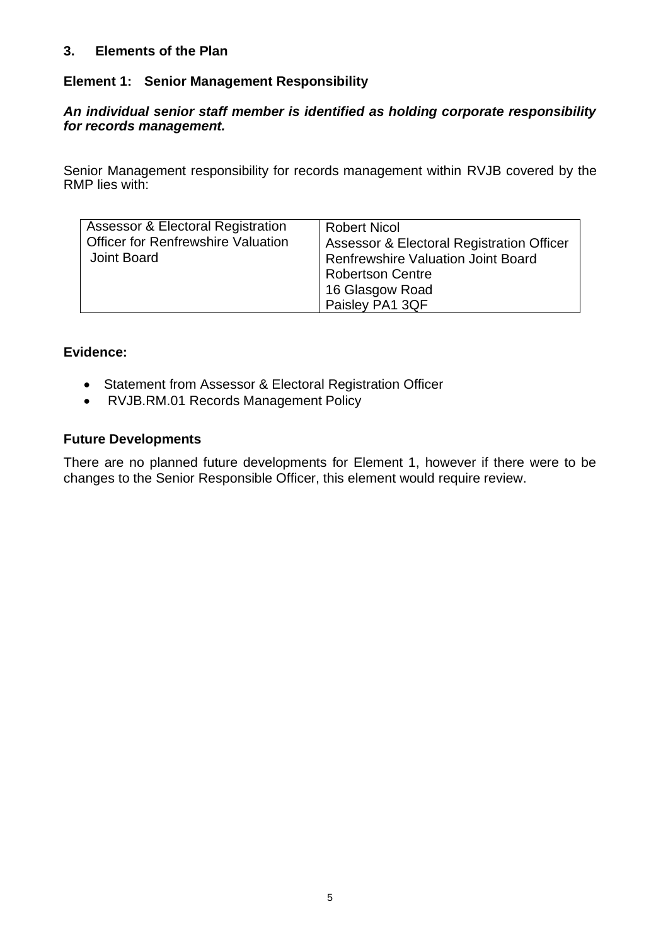#### **3. Elements of the Plan**

#### **Element 1: Senior Management Responsibility**

#### *An individual senior staff member is identified as holding corporate responsibility for records management.*

Senior Management responsibility for records management within RVJB covered by the RMP lies with:

| Assessor & Electoral Registration<br><b>Officer for Renfrewshire Valuation</b><br>Joint Board | <b>Robert Nicol</b><br>Assessor & Electoral Registration Officer<br><b>Renfrewshire Valuation Joint Board</b><br>Robertson Centre<br>16 Glasgow Road<br>Paisley PA1 3QF |
|-----------------------------------------------------------------------------------------------|-------------------------------------------------------------------------------------------------------------------------------------------------------------------------|
|-----------------------------------------------------------------------------------------------|-------------------------------------------------------------------------------------------------------------------------------------------------------------------------|

#### **Evidence:**

- Statement from Assessor & Electoral Registration Officer
- RVJB.RM.01 Records Management Policy

#### **Future Developments**

There are no planned future developments for Element 1, however if there were to be changes to the Senior Responsible Officer, this element would require review.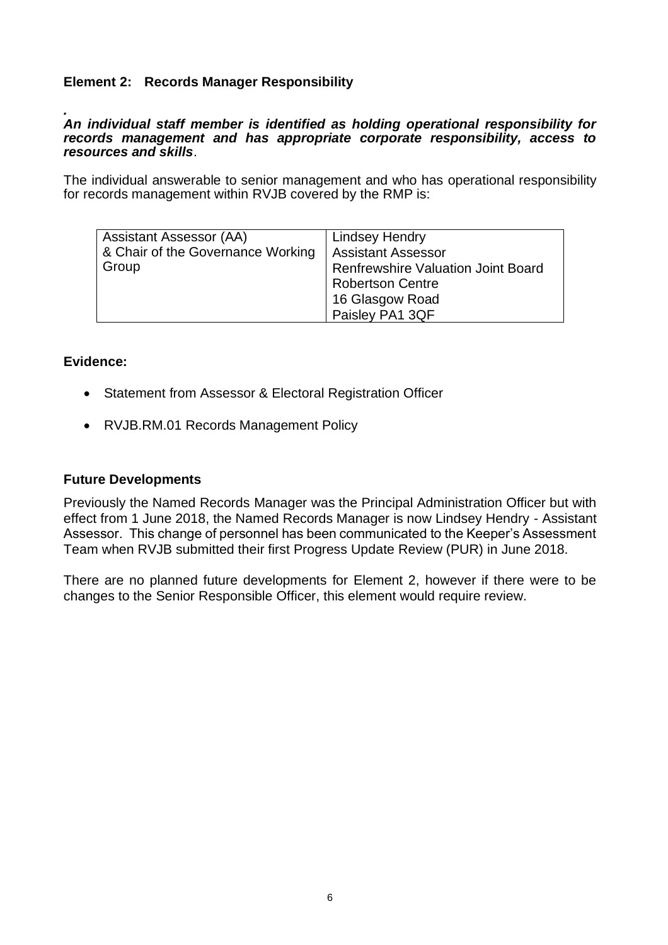#### **Element 2: Records Manager Responsibility**

#### *. An individual staff member is identified as holding operational responsibility for records management and has appropriate corporate responsibility, access to resources and skills*.

The individual answerable to senior management and who has operational responsibility for records management within RVJB covered by the RMP is:

| <b>Assistant Assessor (AA)</b>    | <b>Lindsey Hendry</b>                     |
|-----------------------------------|-------------------------------------------|
| & Chair of the Governance Working | <b>Assistant Assessor</b>                 |
| ∣ Group                           | <b>Renfrewshire Valuation Joint Board</b> |
|                                   | <b>Robertson Centre</b>                   |
|                                   | 16 Glasgow Road                           |
|                                   | Paisley PA1 3QF                           |

#### **Evidence:**

- Statement from Assessor & Electoral Registration Officer
- RVJB.RM.01 Records Management Policy

#### **Future Developments**

Previously the Named Records Manager was the Principal Administration Officer but with effect from 1 June 2018, the Named Records Manager is now Lindsey Hendry - Assistant Assessor. This change of personnel has been communicated to the Keeper's Assessment Team when RVJB submitted their first Progress Update Review (PUR) in June 2018.

There are no planned future developments for Element 2, however if there were to be changes to the Senior Responsible Officer, this element would require review.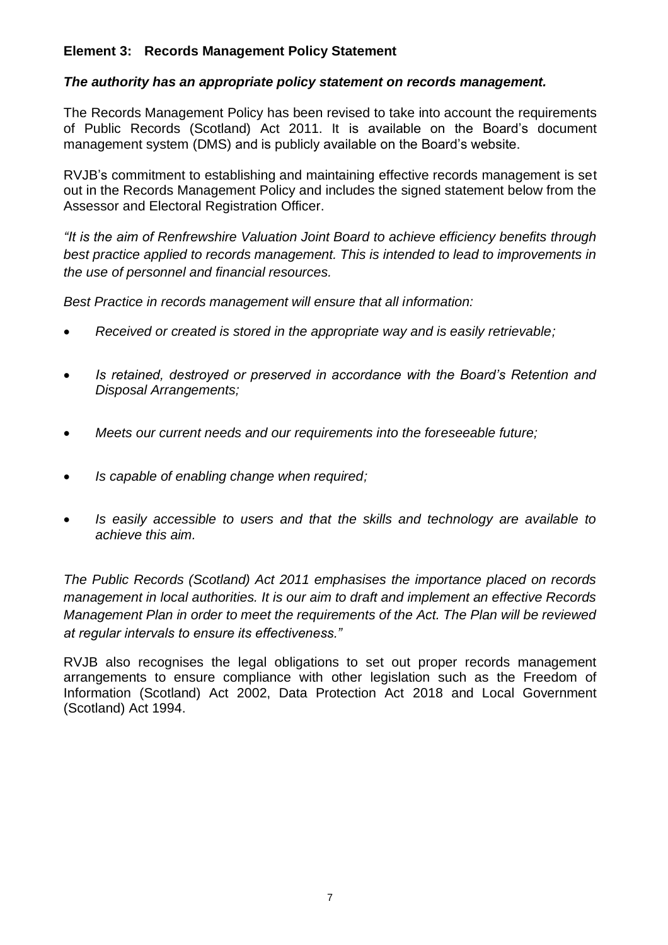#### **Element 3: Records Management Policy Statement**

#### *The authority has an appropriate policy statement on records management.*

The Records Management Policy has been revised to take into account the requirements of Public Records (Scotland) Act 2011. It is available on the Board's document management system (DMS) and is publicly available on the Board's website.

RVJB's commitment to establishing and maintaining effective records management is set out in the Records Management Policy and includes the signed statement below from the Assessor and Electoral Registration Officer.

*"It is the aim of Renfrewshire Valuation Joint Board to achieve efficiency benefits through best practice applied to records management. This is intended to lead to improvements in the use of personnel and financial resources.* 

*Best Practice in records management will ensure that all information:*

- *Received or created is stored in the appropriate way and is easily retrievable;*
- *Is retained, destroyed or preserved in accordance with the Board's Retention and Disposal Arrangements;*
- *Meets our current needs and our requirements into the foreseeable future;*
- *Is capable of enabling change when required;*
- *Is easily accessible to users and that the skills and technology are available to achieve this aim.*

*The Public Records (Scotland) Act 2011 emphasises the importance placed on records management in local authorities. It is our aim to draft and implement an effective Records Management Plan in order to meet the requirements of the Act. The Plan will be reviewed at regular intervals to ensure its effectiveness."*

RVJB also recognises the legal obligations to set out proper records management arrangements to ensure compliance with other legislation such as the Freedom of Information (Scotland) Act 2002, Data Protection Act 2018 and Local Government (Scotland) Act 1994.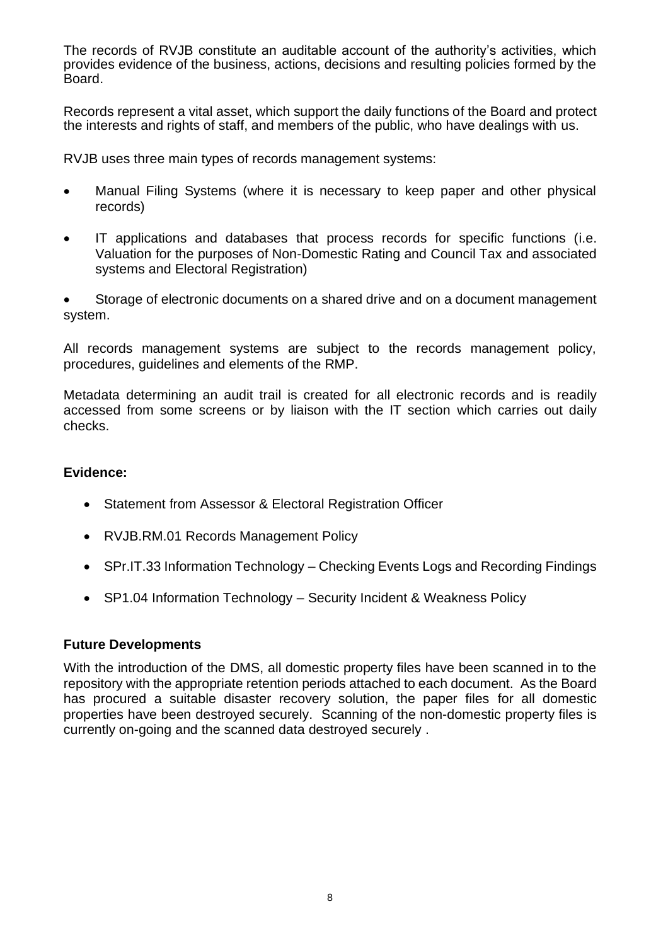The records of RVJB constitute an auditable account of the authority's activities, which provides evidence of the business, actions, decisions and resulting policies formed by the Board.

Records represent a vital asset, which support the daily functions of the Board and protect the interests and rights of staff, and members of the public, who have dealings with us.

RVJB uses three main types of records management systems:

- Manual Filing Systems (where it is necessary to keep paper and other physical records)
- IT applications and databases that process records for specific functions (i.e. Valuation for the purposes of Non-Domestic Rating and Council Tax and associated systems and Electoral Registration)

• Storage of electronic documents on a shared drive and on a document management system.

All records management systems are subject to the records management policy, procedures, guidelines and elements of the RMP.

Metadata determining an audit trail is created for all electronic records and is readily accessed from some screens or by liaison with the IT section which carries out daily checks.

#### **Evidence:**

- Statement from Assessor & Electoral Registration Officer
- RVJB.RM.01 Records Management Policy
- SPr.IT.33 Information Technology Checking Events Logs and Recording Findings
- SP1.04 Information Technology Security Incident & Weakness Policy

#### **Future Developments**

With the introduction of the DMS, all domestic property files have been scanned in to the repository with the appropriate retention periods attached to each document. As the Board has procured a suitable disaster recovery solution, the paper files for all domestic properties have been destroyed securely. Scanning of the non-domestic property files is currently on-going and the scanned data destroyed securely .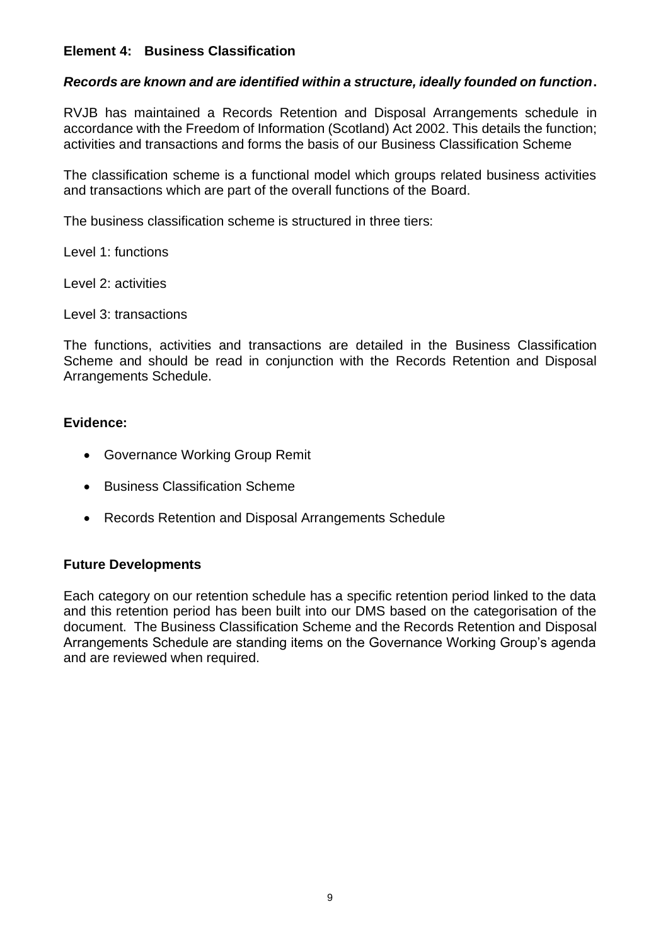#### **Element 4: Business Classification**

#### *Records are known and are identified within a structure, ideally founded on function***.**

RVJB has maintained a Records Retention and Disposal Arrangements schedule in accordance with the Freedom of Information (Scotland) Act 2002. This details the function; activities and transactions and forms the basis of our Business Classification Scheme

The classification scheme is a functional model which groups related business activities and transactions which are part of the overall functions of the Board.

The business classification scheme is structured in three tiers:

Level 1: functions

Level 2: activities

Level 3: transactions

The functions, activities and transactions are detailed in the Business Classification Scheme and should be read in conjunction with the Records Retention and Disposal Arrangements Schedule.

#### **Evidence:**

- Governance Working Group Remit
- Business Classification Scheme
- Records Retention and Disposal Arrangements Schedule

#### **Future Developments**

Each category on our retention schedule has a specific retention period linked to the data and this retention period has been built into our DMS based on the categorisation of the document. The Business Classification Scheme and the Records Retention and Disposal Arrangements Schedule are standing items on the Governance Working Group's agenda and are reviewed when required.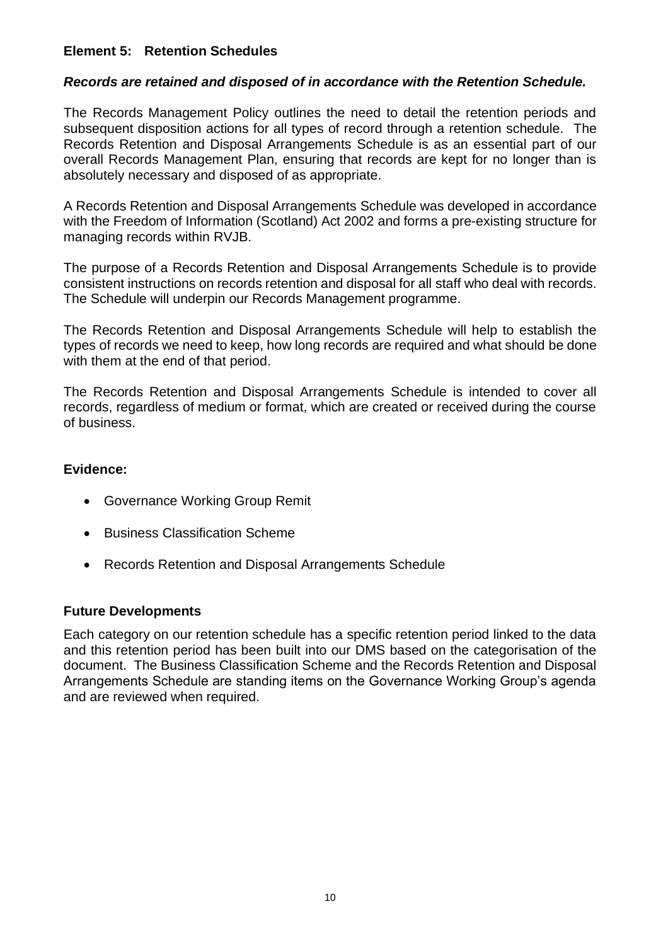#### **Element 5: Retention Schedules**

#### *Records are retained and disposed of in accordance with the Retention Schedule.*

The Records Management Policy outlines the need to detail the retention periods and subsequent disposition actions for all types of record through a retention schedule. The Records Retention and Disposal Arrangements Schedule is as an essential part of our overall Records Management Plan, ensuring that records are kept for no longer than is absolutely necessary and disposed of as appropriate.

A Records Retention and Disposal Arrangements Schedule was developed in accordance with the Freedom of Information (Scotland) Act 2002 and forms a pre-existing structure for managing records within RVJB.

The purpose of a Records Retention and Disposal Arrangements Schedule is to provide consistent instructions on records retention and disposal for all staff who deal with records. The Schedule will underpin our Records Management programme.

The Records Retention and Disposal Arrangements Schedule will help to establish the types of records we need to keep, how long records are required and what should be done with them at the end of that period.

The Records Retention and Disposal Arrangements Schedule is intended to cover all records, regardless of medium or format, which are created or received during the course of business.

#### **Evidence:**

- Governance Working Group Remit
- Business Classification Scheme
- Records Retention and Disposal Arrangements Schedule

#### **Future Developments**

Each category on our retention schedule has a specific retention period linked to the data and this retention period has been built into our DMS based on the categorisation of the document. The Business Classification Scheme and the Records Retention and Disposal Arrangements Schedule are standing items on the Governance Working Group's agenda and are reviewed when required.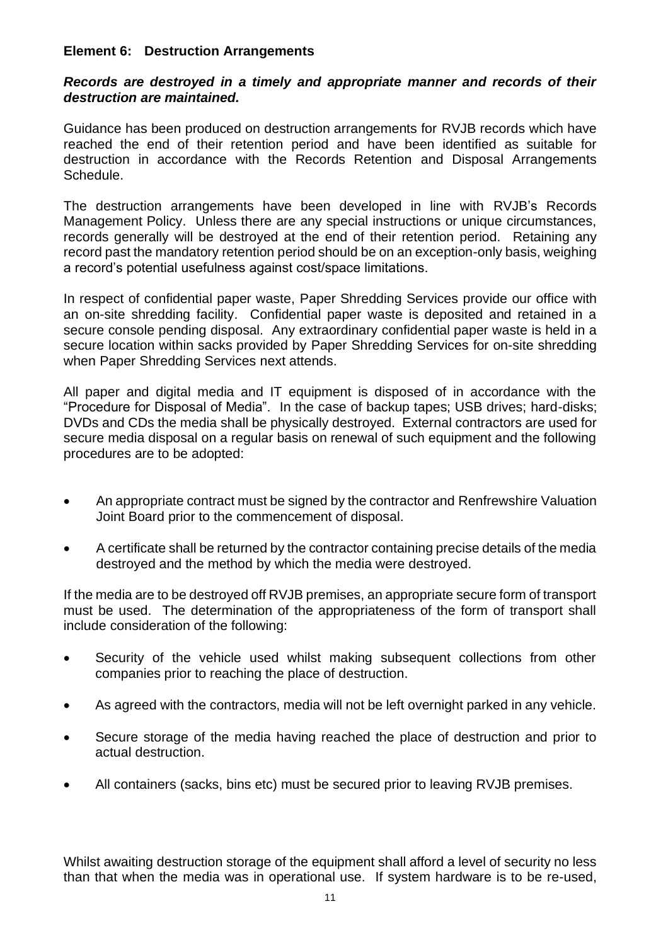#### **Element 6: Destruction Arrangements**

#### *Records are destroyed in a timely and appropriate manner and records of their destruction are maintained.*

Guidance has been produced on destruction arrangements for RVJB records which have reached the end of their retention period and have been identified as suitable for destruction in accordance with the Records Retention and Disposal Arrangements Schedule.

The destruction arrangements have been developed in line with RVJB's Records Management Policy. Unless there are any special instructions or unique circumstances, records generally will be destroyed at the end of their retention period. Retaining any record past the mandatory retention period should be on an exception-only basis, weighing a record's potential usefulness against cost/space limitations.

In respect of confidential paper waste, Paper Shredding Services provide our office with an on-site shredding facility. Confidential paper waste is deposited and retained in a secure console pending disposal. Any extraordinary confidential paper waste is held in a secure location within sacks provided by Paper Shredding Services for on-site shredding when Paper Shredding Services next attends.

All paper and digital media and IT equipment is disposed of in accordance with the "Procedure for Disposal of Media". In the case of backup tapes; USB drives; hard-disks; DVDs and CDs the media shall be physically destroyed. External contractors are used for secure media disposal on a regular basis on renewal of such equipment and the following procedures are to be adopted:

- An appropriate contract must be signed by the contractor and Renfrewshire Valuation Joint Board prior to the commencement of disposal.
- A certificate shall be returned by the contractor containing precise details of the media destroyed and the method by which the media were destroyed.

If the media are to be destroyed off RVJB premises, an appropriate secure form of transport must be used. The determination of the appropriateness of the form of transport shall include consideration of the following:

- Security of the vehicle used whilst making subsequent collections from other companies prior to reaching the place of destruction.
- As agreed with the contractors, media will not be left overnight parked in any vehicle.
- Secure storage of the media having reached the place of destruction and prior to actual destruction.
- All containers (sacks, bins etc) must be secured prior to leaving RVJB premises.

Whilst awaiting destruction storage of the equipment shall afford a level of security no less than that when the media was in operational use. If system hardware is to be re-used,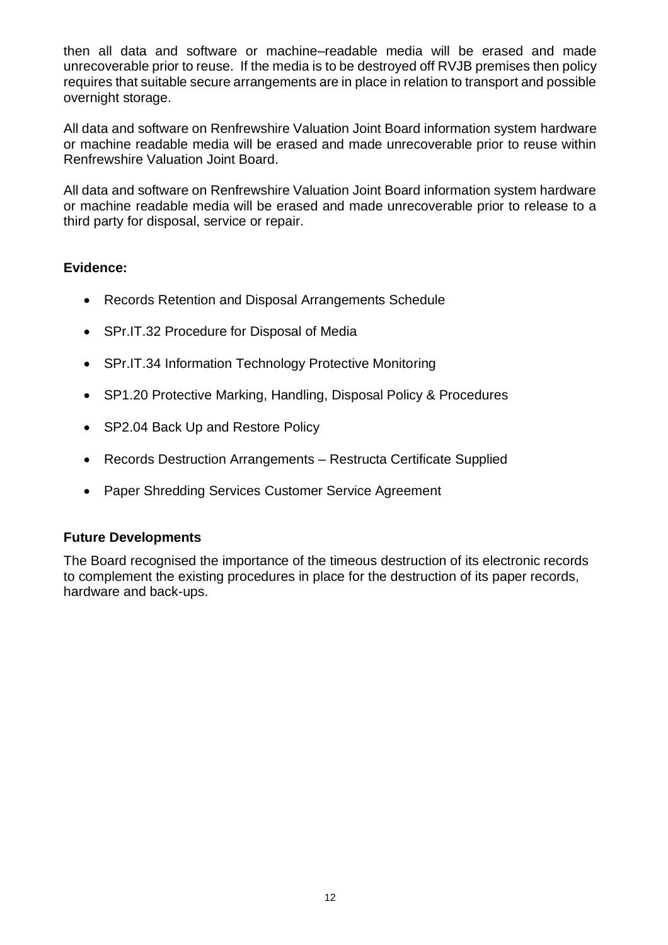then all data and software or machine–readable media will be erased and made unrecoverable prior to reuse. If the media is to be destroyed off RVJB premises then policy requires that suitable secure arrangements are in place in relation to transport and possible overnight storage.

All data and software on Renfrewshire Valuation Joint Board information system hardware or machine readable media will be erased and made unrecoverable prior to reuse within Renfrewshire Valuation Joint Board.

All data and software on Renfrewshire Valuation Joint Board information system hardware or machine readable media will be erased and made unrecoverable prior to release to a third party for disposal, service or repair.

## **Evidence:**

- Records Retention and Disposal Arrangements Schedule
- SPr.IT.32 Procedure for Disposal of Media
- SPr.IT.34 Information Technology Protective Monitoring
- SP1.20 Protective Marking, Handling, Disposal Policy & Procedures
- SP2.04 Back Up and Restore Policy
- Records Destruction Arrangements Restructa Certificate Supplied
- Paper Shredding Services Customer Service Agreement

#### **Future Developments**

The Board recognised the importance of the timeous destruction of its electronic records to complement the existing procedures in place for the destruction of its paper records, hardware and back-ups.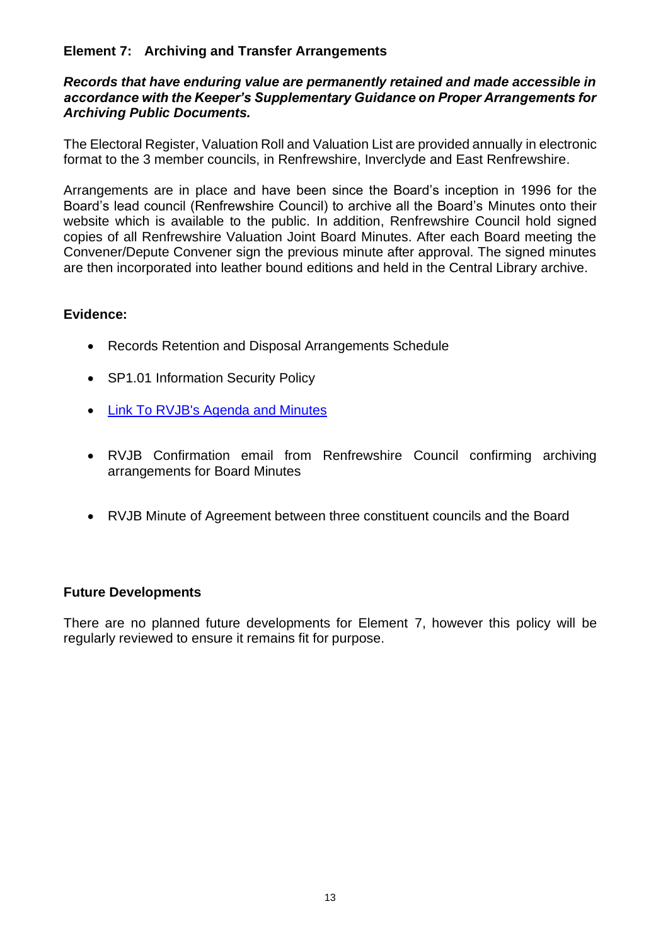#### **Element 7: Archiving and Transfer Arrangements**

#### *Records that have enduring value are permanently retained and made accessible in accordance with the Keeper's Supplementary Guidance on Proper Arrangements for Archiving Public Documents.*

The Electoral Register, Valuation Roll and Valuation List are provided annually in electronic format to the 3 member councils, in Renfrewshire, Inverclyde and East Renfrewshire.

Arrangements are in place and have been since the Board's inception in 1996 for the Board's lead council (Renfrewshire Council) to archive all the Board's Minutes onto their website which is available to the public. In addition, Renfrewshire Council hold signed copies of all Renfrewshire Valuation Joint Board Minutes. After each Board meeting the Convener/Depute Convener sign the previous minute after approval. The signed minutes are then incorporated into leather bound editions and held in the Central Library archive.

#### **Evidence:**

- Records Retention and Disposal Arrangements Schedule
- SP1.01 Information Security Policy
- [Link To RVJB's Agenda and Minutes](https://renfrewshire.cmis.uk.com/renfrewshire/JointArrangements/RenfrewshireValuationJointBoard/tabid/136/ctl/ViewCMIS_CommitteeDetails/mid/543/id/78/Default.aspx)
- RVJB Confirmation email from Renfrewshire Council confirming archiving arrangements for Board Minutes
- RVJB Minute of Agreement between three constituent councils and the Board

#### **Future Developments**

There are no planned future developments for Element 7, however this policy will be regularly reviewed to ensure it remains fit for purpose.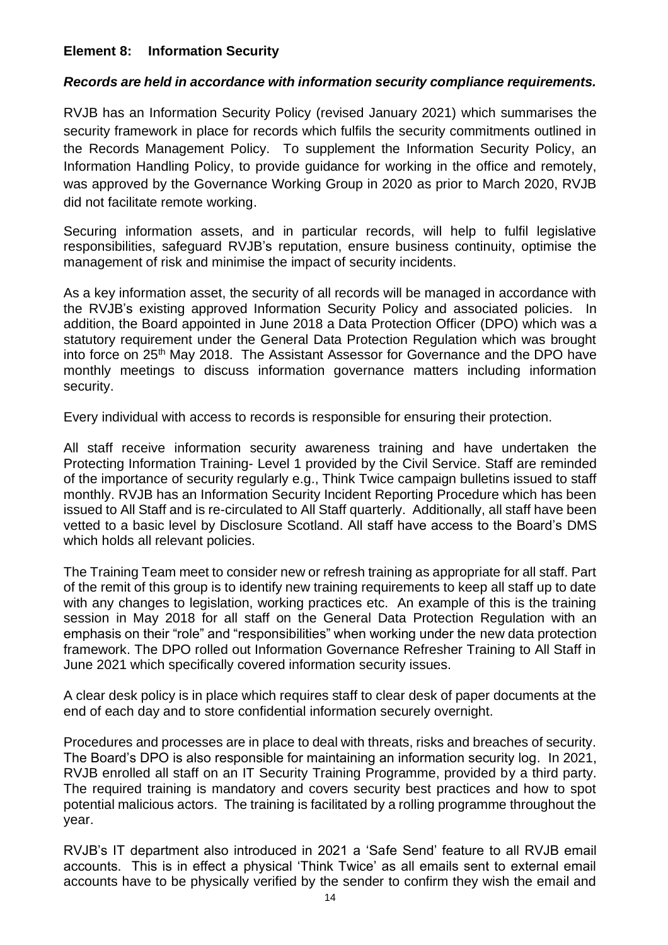#### **Element 8: Information Security**

#### *Records are held in accordance with information security compliance requirements.*

RVJB has an Information Security Policy (revised January 2021) which summarises the security framework in place for records which fulfils the security commitments outlined in the Records Management Policy. To supplement the Information Security Policy, an Information Handling Policy, to provide guidance for working in the office and remotely, was approved by the Governance Working Group in 2020 as prior to March 2020, RVJB did not facilitate remote working.

Securing information assets, and in particular records, will help to fulfil legislative responsibilities, safeguard RVJB's reputation, ensure business continuity, optimise the management of risk and minimise the impact of security incidents.

As a key information asset, the security of all records will be managed in accordance with the RVJB's existing approved Information Security Policy and associated policies. In addition, the Board appointed in June 2018 a Data Protection Officer (DPO) which was a statutory requirement under the General Data Protection Regulation which was brought into force on 25<sup>th</sup> May 2018. The Assistant Assessor for Governance and the DPO have monthly meetings to discuss information governance matters including information security.

Every individual with access to records is responsible for ensuring their protection.

All staff receive information security awareness training and have undertaken the Protecting Information Training- Level 1 provided by the Civil Service. Staff are reminded of the importance of security regularly e.g., Think Twice campaign bulletins issued to staff monthly. RVJB has an Information Security Incident Reporting Procedure which has been issued to All Staff and is re-circulated to All Staff quarterly. Additionally, all staff have been vetted to a basic level by Disclosure Scotland. All staff have access to the Board's DMS which holds all relevant policies.

The Training Team meet to consider new or refresh training as appropriate for all staff. Part of the remit of this group is to identify new training requirements to keep all staff up to date with any changes to legislation, working practices etc. An example of this is the training session in May 2018 for all staff on the General Data Protection Regulation with an emphasis on their "role" and "responsibilities" when working under the new data protection framework. The DPO rolled out Information Governance Refresher Training to All Staff in June 2021 which specifically covered information security issues.

A clear desk policy is in place which requires staff to clear desk of paper documents at the end of each day and to store confidential information securely overnight.

Procedures and processes are in place to deal with threats, risks and breaches of security. The Board's DPO is also responsible for maintaining an information security log. In 2021, RVJB enrolled all staff on an IT Security Training Programme, provided by a third party. The required training is mandatory and covers security best practices and how to spot potential malicious actors. The training is facilitated by a rolling programme throughout the year.

RVJB's IT department also introduced in 2021 a 'Safe Send' feature to all RVJB email accounts. This is in effect a physical 'Think Twice' as all emails sent to external email accounts have to be physically verified by the sender to confirm they wish the email and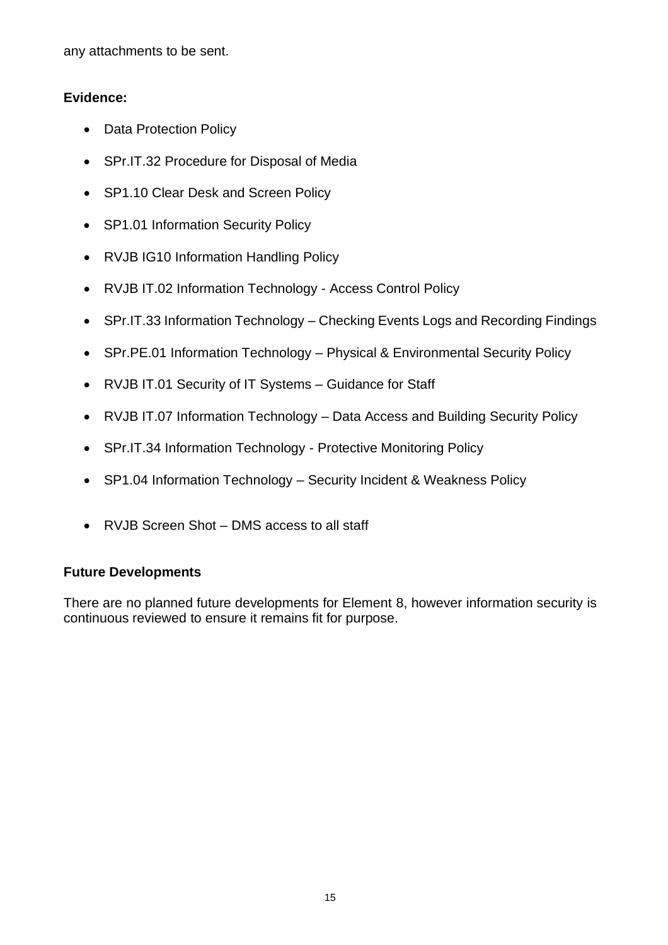any attachments to be sent.

#### **Evidence:**

- Data Protection Policy
- SPr.IT.32 Procedure for Disposal of Media
- SP1.10 Clear Desk and Screen Policy
- SP1.01 Information Security Policy
- RVJB IG10 Information Handling Policy
- RVJB IT.02 Information Technology Access Control Policy
- SPr.IT.33 Information Technology Checking Events Logs and Recording Findings
- SPr.PE.01 Information Technology Physical & Environmental Security Policy
- RVJB IT.01 Security of IT Systems Guidance for Staff
- RVJB IT.07 Information Technology Data Access and Building Security Policy
- SPr.IT.34 Information Technology Protective Monitoring Policy
- SP1.04 Information Technology Security Incident & Weakness Policy
- RVJB Screen Shot DMS access to all staff

#### **Future Developments**

There are no planned future developments for Element 8, however information security is continuous reviewed to ensure it remains fit for purpose.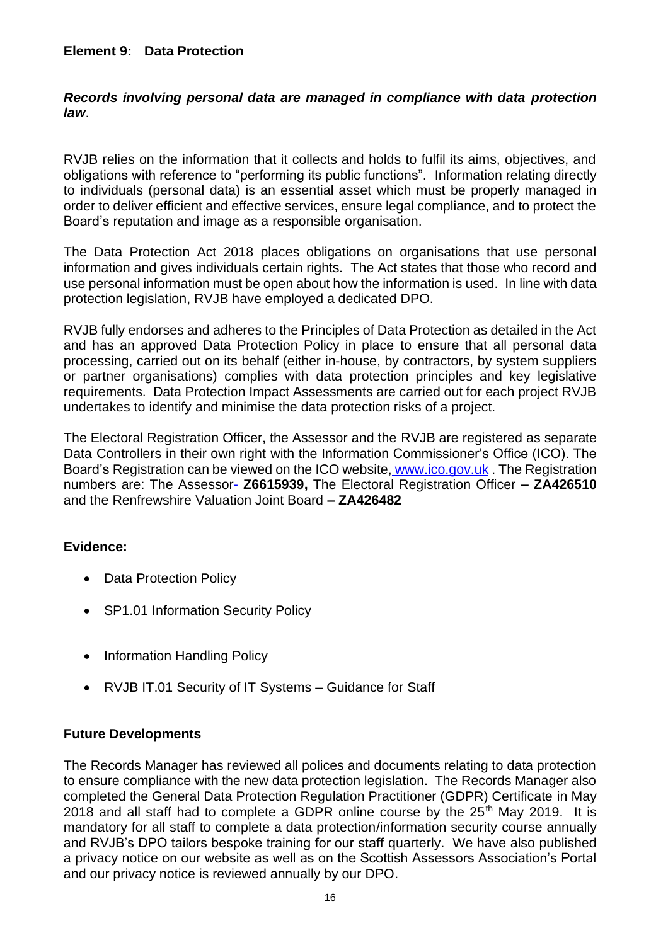#### **Element 9: Data Protection**

#### *Records involving personal data are managed in compliance with data protection law*.

RVJB relies on the information that it collects and holds to fulfil its aims, objectives, and obligations with reference to "performing its public functions". Information relating directly to individuals (personal data) is an essential asset which must be properly managed in order to deliver efficient and effective services, ensure legal compliance, and to protect the Board's reputation and image as a responsible organisation.

The Data Protection Act 2018 places obligations on organisations that use personal information and gives individuals certain rights. The Act states that those who record and use personal information must be open about how the information is used. In line with data protection legislation, RVJB have employed a dedicated DPO.

RVJB fully endorses and adheres to the Principles of Data Protection as detailed in the Act and has an approved Data Protection Policy in place to ensure that all personal data processing, carried out on its behalf (either in-house, by contractors, by system suppliers or partner organisations) complies with data protection principles and key legislative requirements. Data Protection Impact Assessments are carried out for each project RVJB undertakes to identify and minimise the data protection risks of a project.

The Electoral Registration Officer, the Assessor and the RVJB are registered as separate Data Controllers in their own right with the Information Commissioner's Office (ICO). The Board's Registration can be viewed on the ICO website, www.ico.gov.uk. The Registration numbers are: The Assessor- **Z6615939,** The Electoral Registration Officer **– ZA426510**  and the Renfrewshire Valuation Joint Board **– ZA426482**

#### **Evidence:**

- Data Protection Policy
- SP1.01 Information Security Policy
- Information Handling Policy
- RVJB IT.01 Security of IT Systems Guidance for Staff

#### **Future Developments**

The Records Manager has reviewed all polices and documents relating to data protection to ensure compliance with the new data protection legislation. The Records Manager also completed the General Data Protection Regulation Practitioner (GDPR) Certificate in May 2018 and all staff had to complete a GDPR online course by the  $25<sup>th</sup>$  May 2019. It is mandatory for all staff to complete a data protection/information security course annually and RVJB's DPO tailors bespoke training for our staff quarterly. We have also published a privacy notice on our website as well as on the Scottish Assessors Association's Portal and our privacy notice is reviewed annually by our DPO.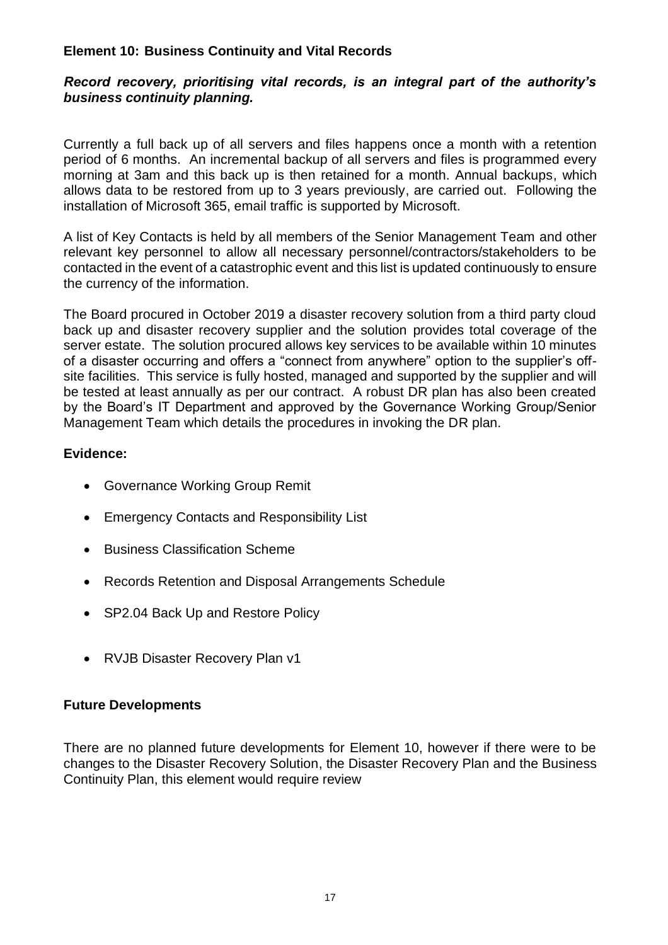#### **Element 10: Business Continuity and Vital Records**

#### *Record recovery, prioritising vital records, is an integral part of the authority's business continuity planning.*

Currently a full back up of all servers and files happens once a month with a retention period of 6 months. An incremental backup of all servers and files is programmed every morning at 3am and this back up is then retained for a month. Annual backups, which allows data to be restored from up to 3 years previously, are carried out. Following the installation of Microsoft 365, email traffic is supported by Microsoft.

A list of Key Contacts is held by all members of the Senior Management Team and other relevant key personnel to allow all necessary personnel/contractors/stakeholders to be contacted in the event of a catastrophic event and this list is updated continuously to ensure the currency of the information.

The Board procured in October 2019 a disaster recovery solution from a third party cloud back up and disaster recovery supplier and the solution provides total coverage of the server estate. The solution procured allows key services to be available within 10 minutes of a disaster occurring and offers a "connect from anywhere" option to the supplier's offsite facilities. This service is fully hosted, managed and supported by the supplier and will be tested at least annually as per our contract. A robust DR plan has also been created by the Board's IT Department and approved by the Governance Working Group/Senior Management Team which details the procedures in invoking the DR plan.

#### **Evidence:**

- Governance Working Group Remit
- Emergency Contacts and Responsibility List
- Business Classification Scheme
- Records Retention and Disposal Arrangements Schedule
- SP2.04 Back Up and Restore Policy
- RVJB Disaster Recovery Plan v1

#### **Future Developments**

There are no planned future developments for Element 10, however if there were to be changes to the Disaster Recovery Solution, the Disaster Recovery Plan and the Business Continuity Plan, this element would require review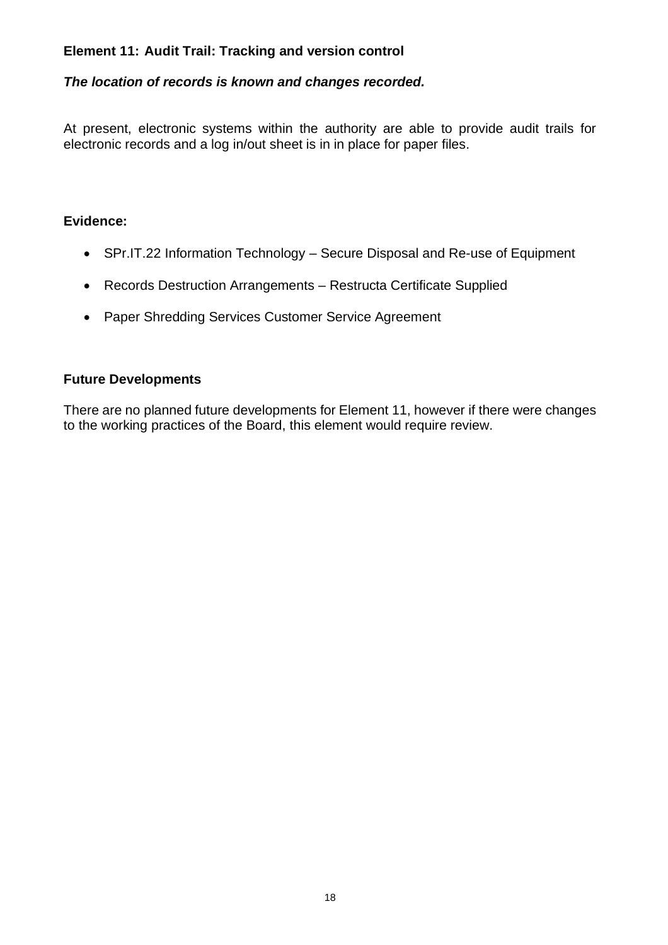#### **Element 11: Audit Trail: Tracking and version control**

#### *The location of records is known and changes recorded.*

At present, electronic systems within the authority are able to provide audit trails for electronic records and a log in/out sheet is in in place for paper files.

#### **Evidence:**

- SPr.IT.22 Information Technology Secure Disposal and Re-use of Equipment
- Records Destruction Arrangements Restructa Certificate Supplied
- Paper Shredding Services Customer Service Agreement

#### **Future Developments**

There are no planned future developments for Element 11, however if there were changes to the working practices of the Board, this element would require review.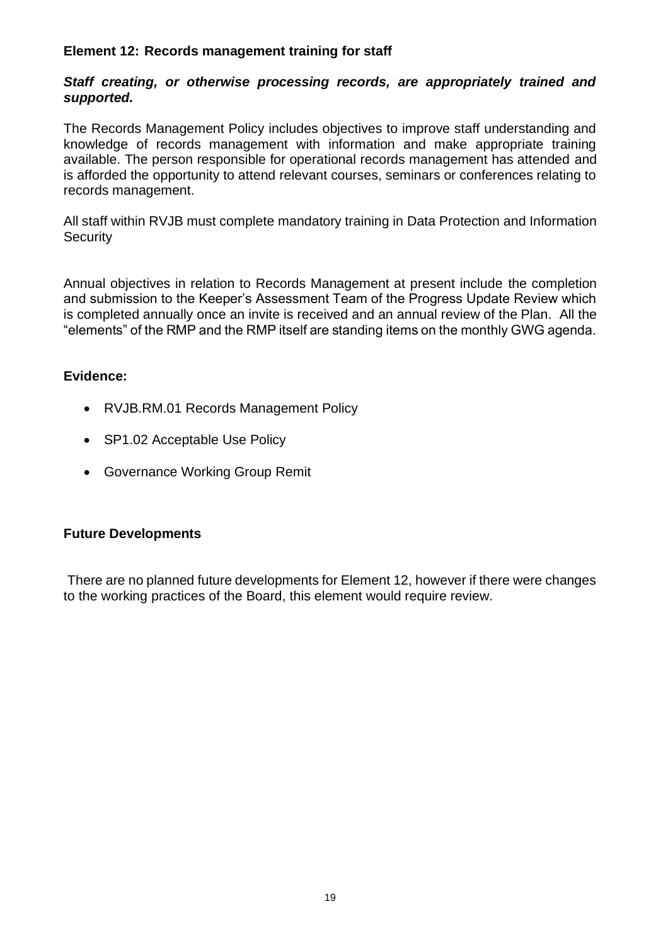#### **Element 12: Records management training for staff**

#### *Staff creating, or otherwise processing records, are appropriately trained and supported.*

The Records Management Policy includes objectives to improve staff understanding and knowledge of records management with information and make appropriate training available. The person responsible for operational records management has attended and is afforded the opportunity to attend relevant courses, seminars or conferences relating to records management.

All staff within RVJB must complete mandatory training in Data Protection and Information **Security** 

Annual objectives in relation to Records Management at present include the completion and submission to the Keeper's Assessment Team of the Progress Update Review which is completed annually once an invite is received and an annual review of the Plan. All the "elements" of the RMP and the RMP itself are standing items on the monthly GWG agenda.

#### **Evidence:**

- RVJB.RM.01 Records Management Policy
- SP1.02 Acceptable Use Policy
- Governance Working Group Remit

#### **Future Developments**

There are no planned future developments for Element 12, however if there were changes to the working practices of the Board, this element would require review.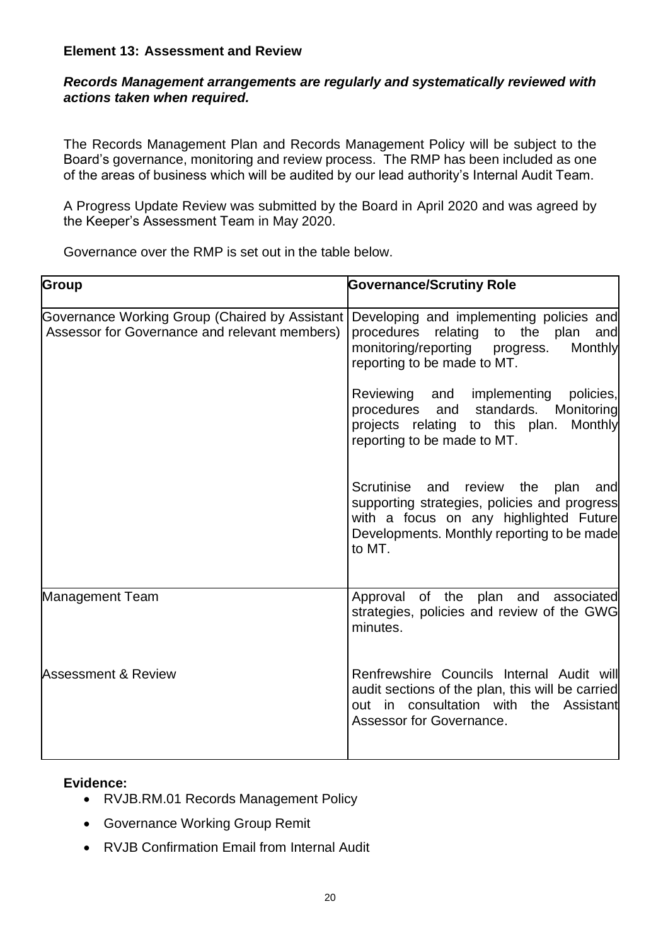#### **Element 13: Assessment and Review**

#### *Records Management arrangements are regularly and systematically reviewed with actions taken when required.*

The Records Management Plan and Records Management Policy will be subject to the Board's governance, monitoring and review process. The RMP has been included as one of the areas of business which will be audited by our lead authority's Internal Audit Team.

A Progress Update Review was submitted by the Board in April 2020 and was agreed by the Keeper's Assessment Team in May 2020.

| <b>Group</b>                                                                                    | <b>Governance/Scrutiny Role</b>                                                                                                                                                         |
|-------------------------------------------------------------------------------------------------|-----------------------------------------------------------------------------------------------------------------------------------------------------------------------------------------|
| Governance Working Group (Chaired by Assistant<br>Assessor for Governance and relevant members) | Developing and implementing policies and<br>procedures relating to the plan<br>and<br>monitoring/reporting progress.<br>Monthly<br>reporting to be made to MT.                          |
|                                                                                                 | Reviewing and implementing policies,<br>procedures and standards. Monitoring<br>projects relating to this plan. Monthly<br>reporting to be made to MT.                                  |
|                                                                                                 | Scrutinise and review the plan<br>and<br>supporting strategies, policies and progress<br>with a focus on any highlighted Future<br>Developments. Monthly reporting to be made<br>to MT. |
| Management Team                                                                                 | Approval of the plan and associated<br>strategies, policies and review of the GWG<br>minutes.                                                                                           |
| <b>Assessment &amp; Review</b>                                                                  | Renfrewshire Councils Internal Audit will<br>audit sections of the plan, this will be carried<br>out in consultation with the Assistant<br>Assessor for Governance.                     |

Governance over the RMP is set out in the table below.

#### **Evidence:**

- RVJB.RM.01 Records Management Policy
- Governance Working Group Remit
- RVJB Confirmation Email from Internal Audit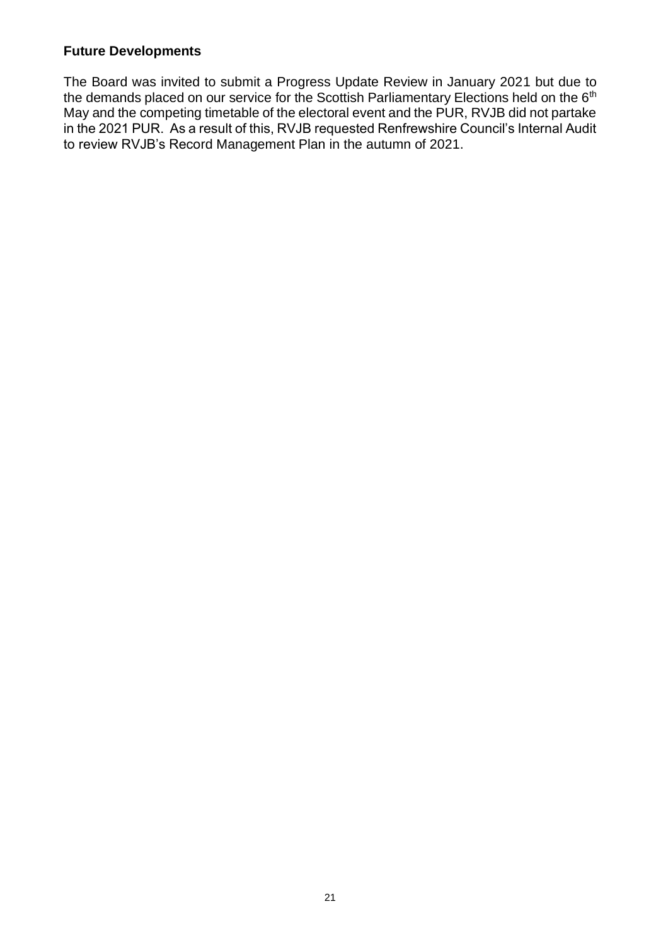#### **Future Developments**

The Board was invited to submit a Progress Update Review in January 2021 but due to the demands placed on our service for the Scottish Parliamentary Elections held on the 6<sup>th</sup> May and the competing timetable of the electoral event and the PUR, RVJB did not partake in the 2021 PUR. As a result of this, RVJB requested Renfrewshire Council's Internal Audit to review RVJB's Record Management Plan in the autumn of 2021.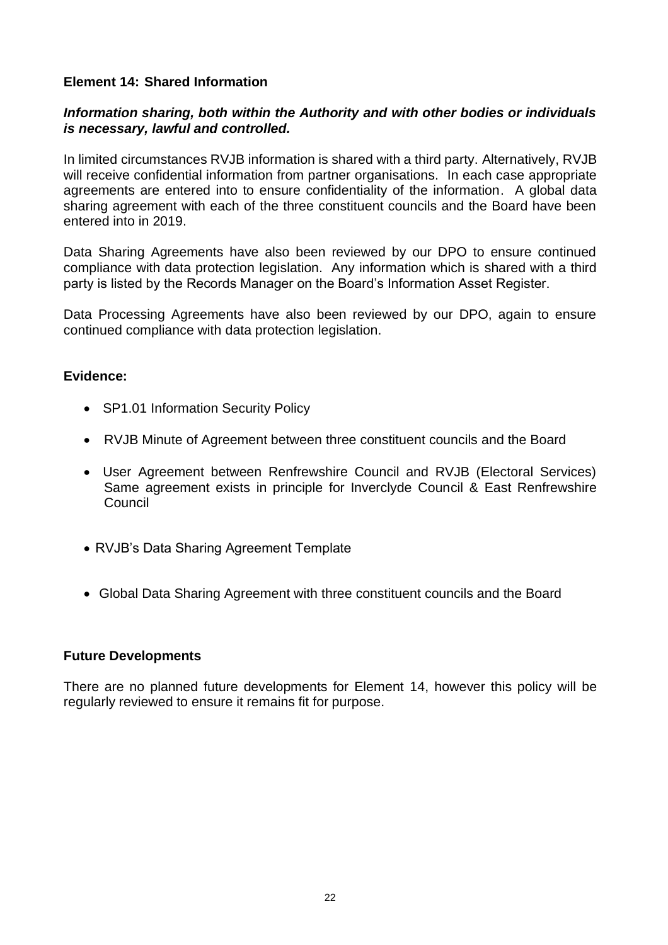#### **Element 14: Shared Information**

#### *Information sharing, both within the Authority and with other bodies or individuals is necessary, lawful and controlled.*

In limited circumstances RVJB information is shared with a third party. Alternatively, RVJB will receive confidential information from partner organisations. In each case appropriate agreements are entered into to ensure confidentiality of the information. A global data sharing agreement with each of the three constituent councils and the Board have been entered into in 2019.

Data Sharing Agreements have also been reviewed by our DPO to ensure continued compliance with data protection legislation. Any information which is shared with a third party is listed by the Records Manager on the Board's Information Asset Register.

Data Processing Agreements have also been reviewed by our DPO, again to ensure continued compliance with data protection legislation.

#### **Evidence:**

- SP1.01 Information Security Policy
- RVJB Minute of Agreement between three constituent councils and the Board
- User Agreement between Renfrewshire Council and RVJB (Electoral Services) Same agreement exists in principle for Inverclyde Council & East Renfrewshire Council
- RVJB's Data Sharing Agreement Template
- Global Data Sharing Agreement with three constituent councils and the Board

#### **Future Developments**

There are no planned future developments for Element 14, however this policy will be regularly reviewed to ensure it remains fit for purpose.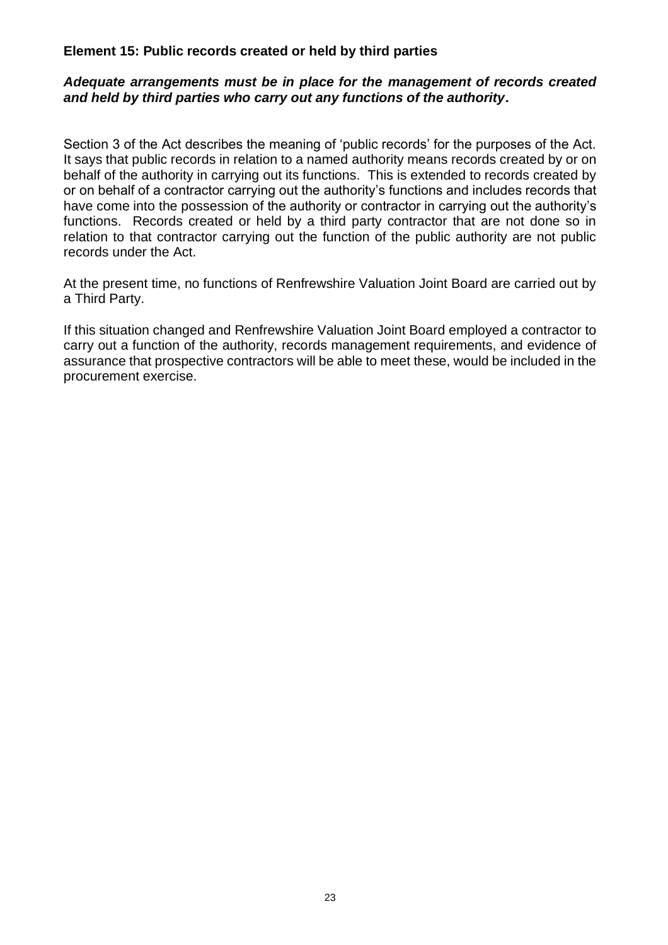#### **Element 15: Public records created or held by third parties**

#### *Adequate arrangements must be in place for the management of records created and held by third parties who carry out any functions of the authority***.**

Section 3 of the Act describes the meaning of 'public records' for the purposes of the Act. It says that public records in relation to a named authority means records created by or on behalf of the authority in carrying out its functions. This is extended to records created by or on behalf of a contractor carrying out the authority's functions and includes records that have come into the possession of the authority or contractor in carrying out the authority's functions. Records created or held by a third party contractor that are not done so in relation to that contractor carrying out the function of the public authority are not public records under the Act.

At the present time, no functions of Renfrewshire Valuation Joint Board are carried out by a Third Party.

If this situation changed and Renfrewshire Valuation Joint Board employed a contractor to carry out a function of the authority, records management requirements, and evidence of assurance that prospective contractors will be able to meet these, would be included in the procurement exercise.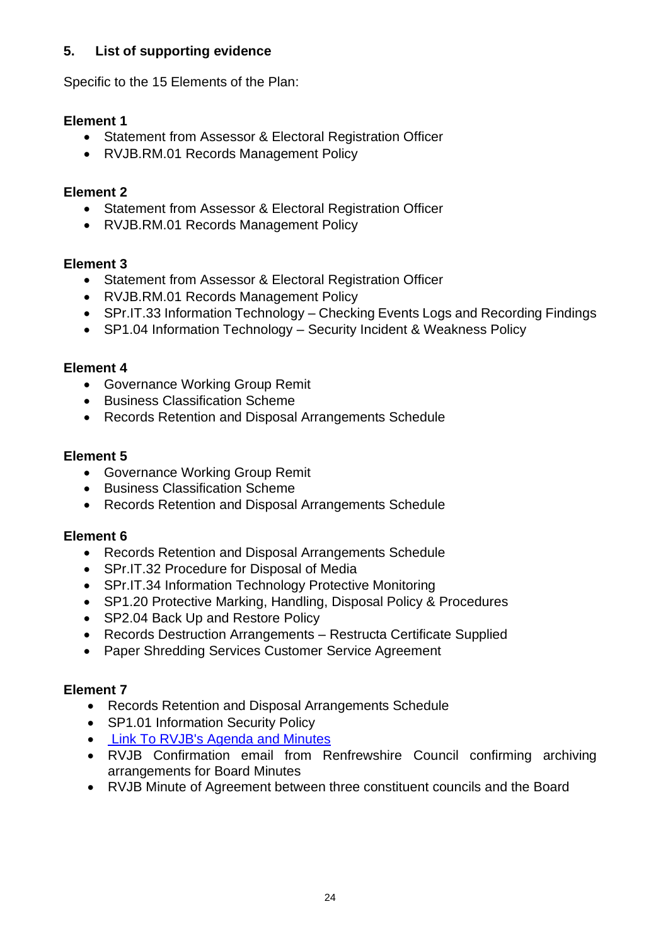#### **5. List of supporting evidence**

Specific to the 15 Elements of the Plan:

#### **Element 1**

- Statement from Assessor & Electoral Registration Officer
- RVJB.RM.01 Records Management Policy

## **Element 2**

- Statement from Assessor & Electoral Registration Officer
- RVJB.RM.01 Records Management Policy

#### **Element 3**

- Statement from Assessor & Electoral Registration Officer
- RVJB.RM.01 Records Management Policy
- SPr.IT.33 Information Technology Checking Events Logs and Recording Findings
- SP1.04 Information Technology Security Incident & Weakness Policy

## **Element 4**

- Governance Working Group Remit
- Business Classification Scheme
- Records Retention and Disposal Arrangements Schedule

#### **Element 5**

- Governance Working Group Remit
- Business Classification Scheme
- Records Retention and Disposal Arrangements Schedule

#### **Element 6**

- Records Retention and Disposal Arrangements Schedule
- SPr.IT.32 Procedure for Disposal of Media
- SPr.IT.34 Information Technology Protective Monitoring
- SP1.20 Protective Marking, Handling, Disposal Policy & Procedures
- SP2.04 Back Up and Restore Policy
- Records Destruction Arrangements Restructa Certificate Supplied
- Paper Shredding Services Customer Service Agreement

#### **Element 7**

- Records Retention and Disposal Arrangements Schedule
- SP1.01 Information Security Policy
- [Link To RVJB's Agenda and Minutes](https://renfrewshire.cmis.uk.com/renfrewshire/JointArrangements/RenfrewshireValuationJointBoard/tabid/136/ctl/ViewCMIS_CommitteeDetails/mid/543/id/78/Default.aspx)
- RVJB Confirmation email from Renfrewshire Council confirming archiving arrangements for Board Minutes
- RVJB Minute of Agreement between three constituent councils and the Board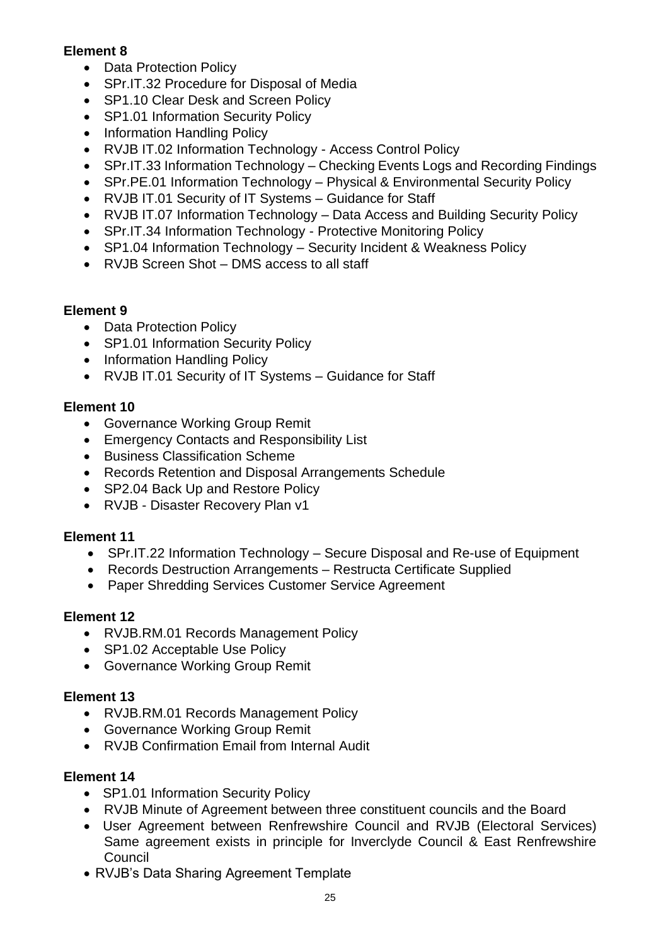#### **Element 8**

- Data Protection Policy
- SPr.IT.32 Procedure for Disposal of Media
- SP1.10 Clear Desk and Screen Policy
- SP1.01 Information Security Policy
- Information Handling Policy
- RVJB IT.02 Information Technology Access Control Policy
- SPr.IT.33 Information Technology Checking Events Logs and Recording Findings
- SPr.PE.01 Information Technology Physical & Environmental Security Policy
- RVJB IT.01 Security of IT Systems Guidance for Staff
- RVJB IT.07 Information Technology Data Access and Building Security Policy
- SPr.IT.34 Information Technology Protective Monitoring Policy
- SP1.04 Information Technology Security Incident & Weakness Policy
- RVJB Screen Shot DMS access to all staff

## **Element 9**

- Data Protection Policy
- SP1.01 Information Security Policy
- Information Handling Policy
- RVJB IT.01 Security of IT Systems Guidance for Staff

## **Element 10**

- Governance Working Group Remit
- Emergency Contacts and Responsibility List
- Business Classification Scheme
- Records Retention and Disposal Arrangements Schedule
- SP2.04 Back Up and Restore Policy
- RVJB Disaster Recovery Plan v1

#### **Element 11**

- SPr.IT.22 Information Technology Secure Disposal and Re-use of Equipment
- Records Destruction Arrangements Restructa Certificate Supplied
- Paper Shredding Services Customer Service Agreement

#### **Element 12**

- RVJB.RM.01 Records Management Policy
- SP1.02 Acceptable Use Policy
- Governance Working Group Remit

#### **Element 13**

- RVJB.RM.01 Records Management Policy
- Governance Working Group Remit
- RVJB Confirmation Email from Internal Audit

#### **Element 14**

- SP1.01 Information Security Policy
- RVJB Minute of Agreement between three constituent councils and the Board
- User Agreement between Renfrewshire Council and RVJB (Electoral Services) Same agreement exists in principle for Inverclyde Council & East Renfrewshire Council
- RVJB's Data Sharing Agreement Template